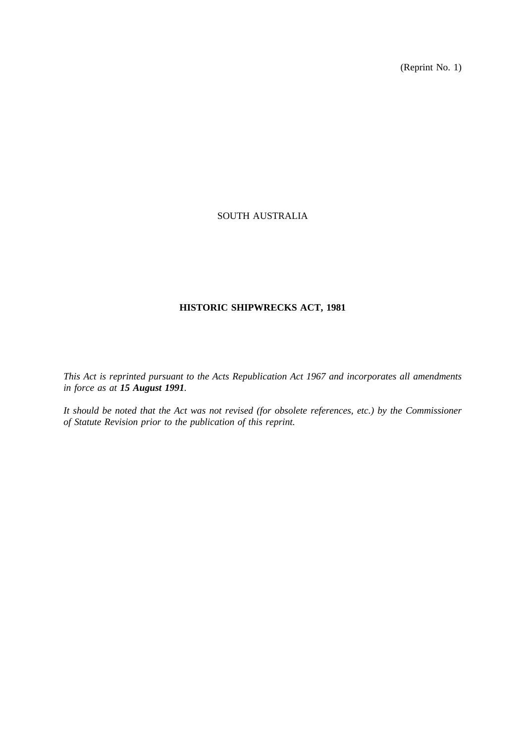(Reprint No. 1)

# SOUTH AUSTRALIA

# **HISTORIC SHIPWRECKS ACT, 1981**

*This Act is reprinted pursuant to the Acts Republication Act 1967 and incorporates all amendments in force as at 15 August 1991.*

*It should be noted that the Act was not revised (for obsolete references, etc.) by the Commissioner of Statute Revision prior to the publication of this reprint.*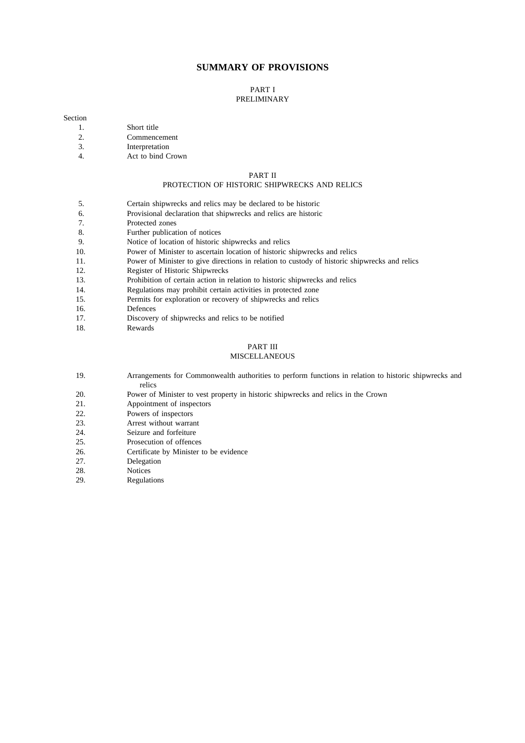### **SUMMARY OF PROVISIONS**

# PART I

# PRELIMINARY

#### Section

- 1. Short title
- 2. Commencement
- 3. Interpretation
- 4. Act to bind Crown

## PART II

## PROTECTION OF HISTORIC SHIPWRECKS AND RELICS

- 5. Certain shipwrecks and relics may be declared to be historic
- 6. Provisional declaration that shipwrecks and relics are historic
- 7. Protected zones
- 8. Further publication of notices
- 9. Notice of location of historic shipwrecks and relics
- 10. Power of Minister to ascertain location of historic shipwrecks and relics
- 11. Power of Minister to give directions in relation to custody of historic shipwrecks and relics
- 12. Register of Historic Shipwrecks
- 13. Prohibition of certain action in relation to historic shipwrecks and relics
- 14. Regulations may prohibit certain activities in protected zone
- 15. Permits for exploration or recovery of shipwrecks and relics
- 16. Defences
- 17. Discovery of shipwrecks and relics to be notified
- 18. Rewards

#### PART III

#### MISCELLANEOUS

- 19. Arrangements for Commonwealth authorities to perform functions in relation to historic shipwrecks and relics
- 20. Power of Minister to vest property in historic shipwrecks and relics in the Crown
- 21. Appointment of inspectors
- 22. Powers of inspectors
- 23. Arrest without warrant
- 24. Seizure and forfeiture<br>25 Prosecution of offence
- Prosecution of offences
- 26. Certificate by Minister to be evidence<br>27. Delegation
- Delegation
- 28. Notices
- 29. Regulations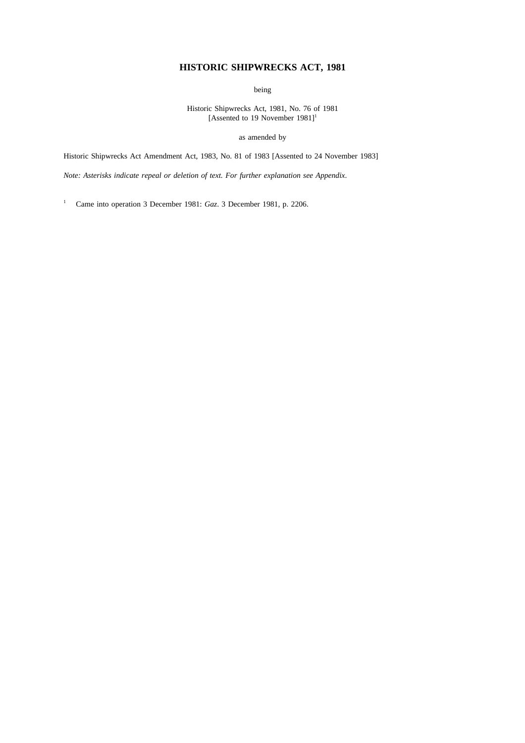# **HISTORIC SHIPWRECKS ACT, 1981**

being

Historic Shipwrecks Act, 1981, No. 76 of 1981 [Assented to 19 November  $1981$ ]<sup>1</sup>

as amended by

Historic Shipwrecks Act Amendment Act, 1983, No. 81 of 1983 [Assented to 24 November 1983]

*Note: Asterisks indicate repeal or deletion of text. For further explanation see Appendix*.

<sup>1</sup> Came into operation 3 December 1981: *Gaz*. 3 December 1981, p. 2206.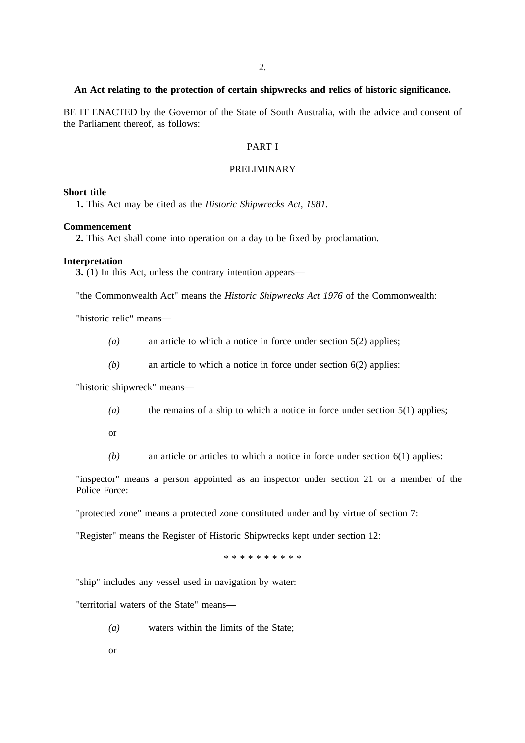### **An Act relating to the protection of certain shipwrecks and relics of historic significance.**

BE IT ENACTED by the Governor of the State of South Australia, with the advice and consent of the Parliament thereof, as follows:

## PART I

## PRELIMINARY

### **Short title**

**1.** This Act may be cited as the *Historic Shipwrecks Act, 1981*.

### **Commencement**

**2.** This Act shall come into operation on a day to be fixed by proclamation.

#### **Interpretation**

**3.** (1) In this Act, unless the contrary intention appears—

"the Commonwealth Act" means the *Historic Shipwrecks Act 1976* of the Commonwealth:

"historic relic" means—

- *(a)* an article to which a notice in force under section 5(2) applies;
- *(b)* an article to which a notice in force under section 6(2) applies:

"historic shipwreck" means—

- *(a)* the remains of a ship to which a notice in force under section 5(1) applies;
- or
- *(b)* an article or articles to which a notice in force under section 6(1) applies:

"inspector" means a person appointed as an inspector under section 21 or a member of the Police Force:

"protected zone" means a protected zone constituted under and by virtue of section 7:

"Register" means the Register of Historic Shipwrecks kept under section 12:

\*\*\*\*\*\*\*\*\*\*

"ship" includes any vessel used in navigation by water:

"territorial waters of the State" means—

- *(a)* waters within the limits of the State;
- or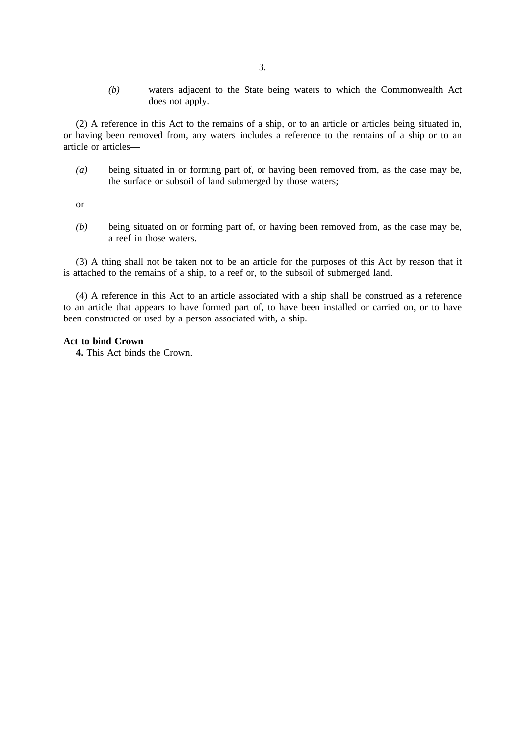*(b)* waters adjacent to the State being waters to which the Commonwealth Act does not apply.

(2) A reference in this Act to the remains of a ship, or to an article or articles being situated in, or having been removed from, any waters includes a reference to the remains of a ship or to an article or articles—

*(a)* being situated in or forming part of, or having been removed from, as the case may be, the surface or subsoil of land submerged by those waters;

or

*(b)* being situated on or forming part of, or having been removed from, as the case may be, a reef in those waters.

(3) A thing shall not be taken not to be an article for the purposes of this Act by reason that it is attached to the remains of a ship, to a reef or, to the subsoil of submerged land.

(4) A reference in this Act to an article associated with a ship shall be construed as a reference to an article that appears to have formed part of, to have been installed or carried on, or to have been constructed or used by a person associated with, a ship.

### **Act to bind Crown**

**4.** This Act binds the Crown.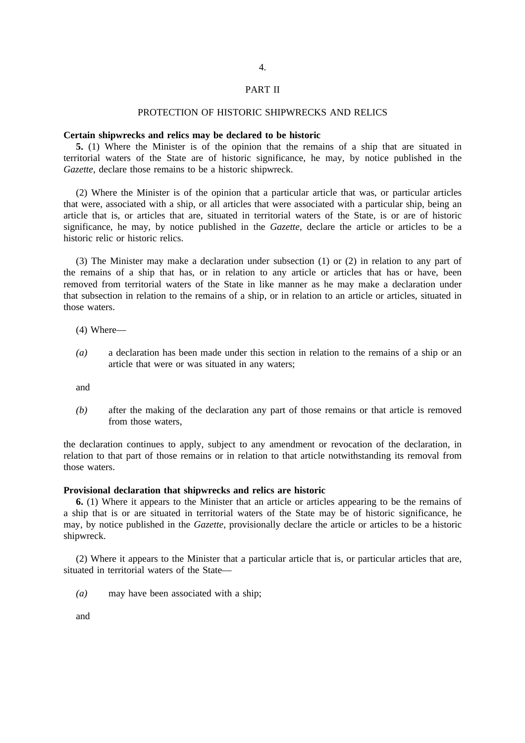#### PART II

## PROTECTION OF HISTORIC SHIPWRECKS AND RELICS

#### **Certain shipwrecks and relics may be declared to be historic**

**5.** (1) Where the Minister is of the opinion that the remains of a ship that are situated in territorial waters of the State are of historic significance, he may, by notice published in the *Gazette*, declare those remains to be a historic shipwreck.

(2) Where the Minister is of the opinion that a particular article that was, or particular articles that were, associated with a ship, or all articles that were associated with a particular ship, being an article that is, or articles that are, situated in territorial waters of the State, is or are of historic significance, he may, by notice published in the *Gazette*, declare the article or articles to be a historic relic or historic relics.

(3) The Minister may make a declaration under subsection (1) or (2) in relation to any part of the remains of a ship that has, or in relation to any article or articles that has or have, been removed from territorial waters of the State in like manner as he may make a declaration under that subsection in relation to the remains of a ship, or in relation to an article or articles, situated in those waters.

- (4) Where—
- *(a)* a declaration has been made under this section in relation to the remains of a ship or an article that were or was situated in any waters;

and

*(b)* after the making of the declaration any part of those remains or that article is removed from those waters

the declaration continues to apply, subject to any amendment or revocation of the declaration, in relation to that part of those remains or in relation to that article notwithstanding its removal from those waters.

#### **Provisional declaration that shipwrecks and relics are historic**

**6.** (1) Where it appears to the Minister that an article or articles appearing to be the remains of a ship that is or are situated in territorial waters of the State may be of historic significance, he may, by notice published in the *Gazette*, provisionally declare the article or articles to be a historic shipwreck.

(2) Where it appears to the Minister that a particular article that is, or particular articles that are, situated in territorial waters of the State—

*(a)* may have been associated with a ship;

and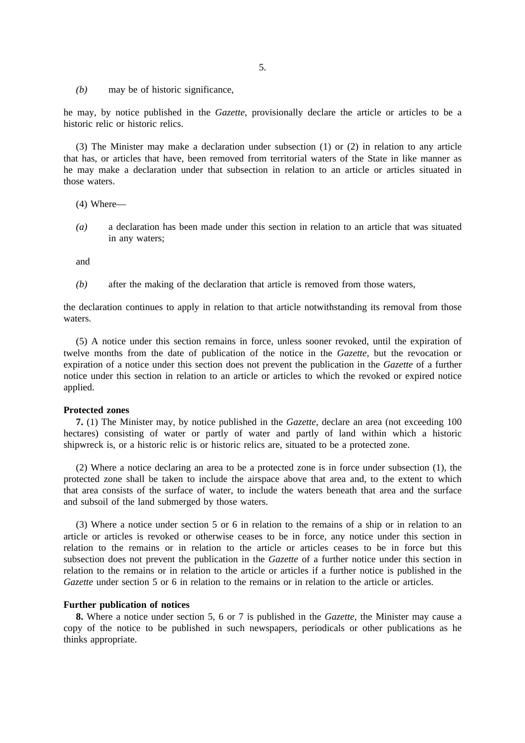*(b)* may be of historic significance,

he may, by notice published in the *Gazette*, provisionally declare the article or articles to be a historic relic or historic relics.

(3) The Minister may make a declaration under subsection (1) or (2) in relation to any article that has, or articles that have, been removed from territorial waters of the State in like manner as he may make a declaration under that subsection in relation to an article or articles situated in those waters.

- (4) Where—
- *(a)* a declaration has been made under this section in relation to an article that was situated in any waters;

and

*(b)* after the making of the declaration that article is removed from those waters,

the declaration continues to apply in relation to that article notwithstanding its removal from those waters.

(5) A notice under this section remains in force, unless sooner revoked, until the expiration of twelve months from the date of publication of the notice in the *Gazette*, but the revocation or expiration of a notice under this section does not prevent the publication in the *Gazette* of a further notice under this section in relation to an article or articles to which the revoked or expired notice applied.

#### **Protected zones**

**7.** (1) The Minister may, by notice published in the *Gazette*, declare an area (not exceeding 100 hectares) consisting of water or partly of water and partly of land within which a historic shipwreck is, or a historic relic is or historic relics are, situated to be a protected zone.

(2) Where a notice declaring an area to be a protected zone is in force under subsection (1), the protected zone shall be taken to include the airspace above that area and, to the extent to which that area consists of the surface of water, to include the waters beneath that area and the surface and subsoil of the land submerged by those waters.

(3) Where a notice under section 5 or 6 in relation to the remains of a ship or in relation to an article or articles is revoked or otherwise ceases to be in force, any notice under this section in relation to the remains or in relation to the article or articles ceases to be in force but this subsection does not prevent the publication in the *Gazette* of a further notice under this section in relation to the remains or in relation to the article or articles if a further notice is published in the *Gazette* under section 5 or 6 in relation to the remains or in relation to the article or articles.

### **Further publication of notices**

**8.** Where a notice under section 5, 6 or 7 is published in the *Gazette*, the Minister may cause a copy of the notice to be published in such newspapers, periodicals or other publications as he thinks appropriate.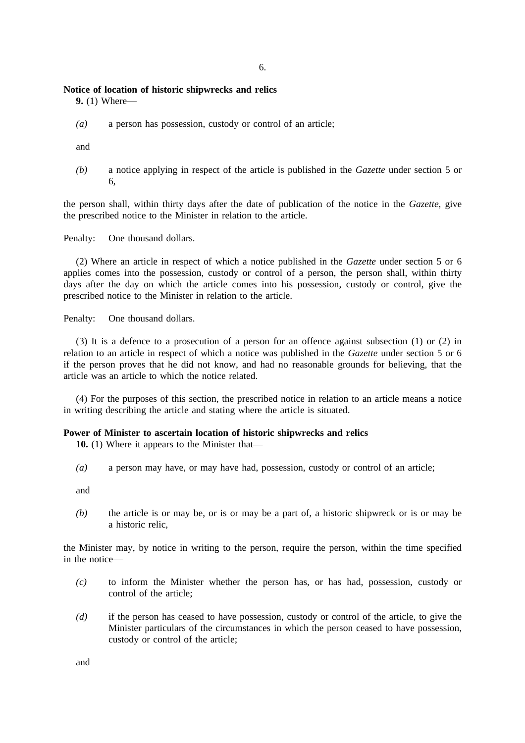### **Notice of location of historic shipwrecks and relics**

**9.** (1) Where—

*(a)* a person has possession, custody or control of an article;

and

*(b)* a notice applying in respect of the article is published in the *Gazette* under section 5 or 6,

the person shall, within thirty days after the date of publication of the notice in the *Gazette*, give the prescribed notice to the Minister in relation to the article.

Penalty: One thousand dollars.

(2) Where an article in respect of which a notice published in the *Gazette* under section 5 or 6 applies comes into the possession, custody or control of a person, the person shall, within thirty days after the day on which the article comes into his possession, custody or control, give the prescribed notice to the Minister in relation to the article.

Penalty: One thousand dollars.

(3) It is a defence to a prosecution of a person for an offence against subsection (1) or (2) in relation to an article in respect of which a notice was published in the *Gazette* under section 5 or 6 if the person proves that he did not know, and had no reasonable grounds for believing, that the article was an article to which the notice related.

(4) For the purposes of this section, the prescribed notice in relation to an article means a notice in writing describing the article and stating where the article is situated.

### **Power of Minister to ascertain location of historic shipwrecks and relics**

**10.** (1) Where it appears to the Minister that—

*(a)* a person may have, or may have had, possession, custody or control of an article;

and

*(b)* the article is or may be, or is or may be a part of, a historic shipwreck or is or may be a historic relic,

the Minister may, by notice in writing to the person, require the person, within the time specified in the notice—

- *(c)* to inform the Minister whether the person has, or has had, possession, custody or control of the article;
- *(d)* if the person has ceased to have possession, custody or control of the article, to give the Minister particulars of the circumstances in which the person ceased to have possession, custody or control of the article;

and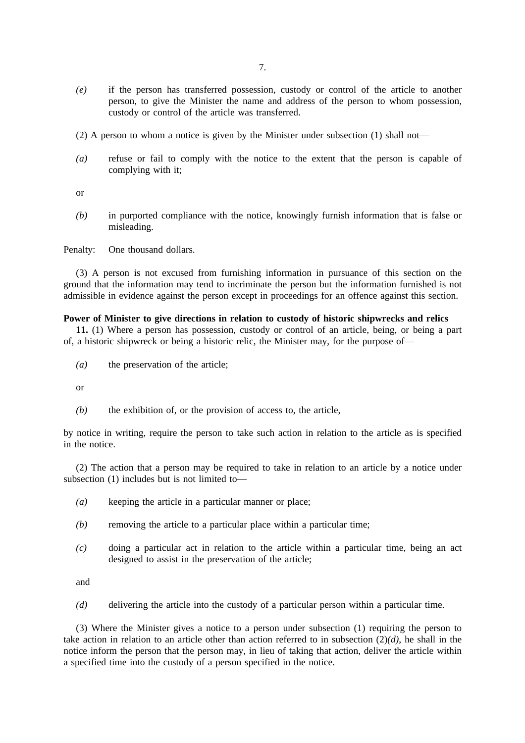- *(e)* if the person has transferred possession, custody or control of the article to another person, to give the Minister the name and address of the person to whom possession, custody or control of the article was transferred.
- (2) A person to whom a notice is given by the Minister under subsection (1) shall not—
- *(a)* refuse or fail to comply with the notice to the extent that the person is capable of complying with it;

or

*(b)* in purported compliance with the notice, knowingly furnish information that is false or misleading.

Penalty: One thousand dollars.

(3) A person is not excused from furnishing information in pursuance of this section on the ground that the information may tend to incriminate the person but the information furnished is not admissible in evidence against the person except in proceedings for an offence against this section.

### **Power of Minister to give directions in relation to custody of historic shipwrecks and relics**

**11.** (1) Where a person has possession, custody or control of an article, being, or being a part of, a historic shipwreck or being a historic relic, the Minister may, for the purpose of—

*(a)* the preservation of the article;

or

*(b)* the exhibition of, or the provision of access to, the article,

by notice in writing, require the person to take such action in relation to the article as is specified in the notice.

(2) The action that a person may be required to take in relation to an article by a notice under subsection (1) includes but is not limited to—

- *(a)* keeping the article in a particular manner or place;
- *(b)* removing the article to a particular place within a particular time;
- *(c)* doing a particular act in relation to the article within a particular time, being an act designed to assist in the preservation of the article;

and

*(d)* delivering the article into the custody of a particular person within a particular time.

(3) Where the Minister gives a notice to a person under subsection (1) requiring the person to take action in relation to an article other than action referred to in subsection (2)*(d)*, he shall in the notice inform the person that the person may, in lieu of taking that action, deliver the article within a specified time into the custody of a person specified in the notice.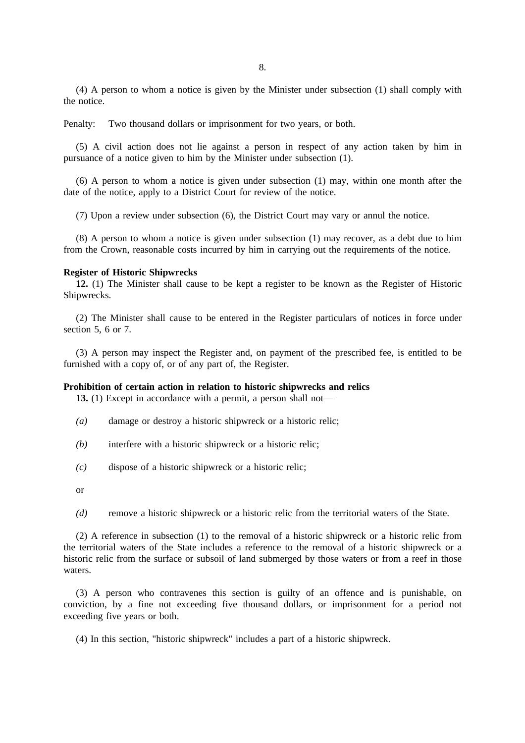(4) A person to whom a notice is given by the Minister under subsection (1) shall comply with the notice.

Penalty: Two thousand dollars or imprisonment for two years, or both.

(5) A civil action does not lie against a person in respect of any action taken by him in pursuance of a notice given to him by the Minister under subsection (1).

(6) A person to whom a notice is given under subsection (1) may, within one month after the date of the notice, apply to a District Court for review of the notice.

(7) Upon a review under subsection (6), the District Court may vary or annul the notice.

(8) A person to whom a notice is given under subsection (1) may recover, as a debt due to him from the Crown, reasonable costs incurred by him in carrying out the requirements of the notice.

#### **Register of Historic Shipwrecks**

**12.** (1) The Minister shall cause to be kept a register to be known as the Register of Historic Shipwrecks.

(2) The Minister shall cause to be entered in the Register particulars of notices in force under section 5, 6 or 7.

(3) A person may inspect the Register and, on payment of the prescribed fee, is entitled to be furnished with a copy of, or of any part of, the Register.

#### **Prohibition of certain action in relation to historic shipwrecks and relics**

**13.** (1) Except in accordance with a permit, a person shall not—

- *(a)* damage or destroy a historic shipwreck or a historic relic;
- *(b)* interfere with a historic shipwreck or a historic relic;
- *(c)* dispose of a historic shipwreck or a historic relic;
- or
- *(d)* remove a historic shipwreck or a historic relic from the territorial waters of the State.

(2) A reference in subsection (1) to the removal of a historic shipwreck or a historic relic from the territorial waters of the State includes a reference to the removal of a historic shipwreck or a historic relic from the surface or subsoil of land submerged by those waters or from a reef in those waters.

(3) A person who contravenes this section is guilty of an offence and is punishable, on conviction, by a fine not exceeding five thousand dollars, or imprisonment for a period not exceeding five years or both.

(4) In this section, "historic shipwreck" includes a part of a historic shipwreck.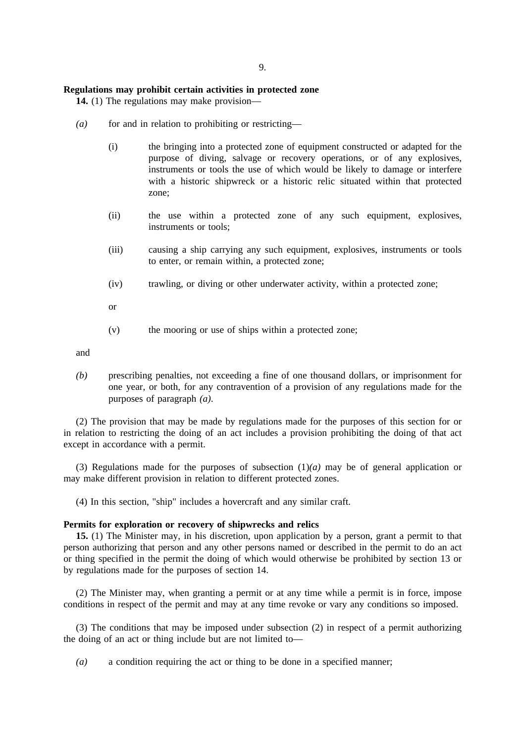#### **Regulations may prohibit certain activities in protected zone**

**14.** (1) The regulations may make provision—

- *(a)* for and in relation to prohibiting or restricting—
	- (i) the bringing into a protected zone of equipment constructed or adapted for the purpose of diving, salvage or recovery operations, or of any explosives, instruments or tools the use of which would be likely to damage or interfere with a historic shipwreck or a historic relic situated within that protected zone;
	- (ii) the use within a protected zone of any such equipment, explosives, instruments or tools;
	- (iii) causing a ship carrying any such equipment, explosives, instruments or tools to enter, or remain within, a protected zone;
	- (iv) trawling, or diving or other underwater activity, within a protected zone;

or

(v) the mooring or use of ships within a protected zone;

and

*(b)* prescribing penalties, not exceeding a fine of one thousand dollars, or imprisonment for one year, or both, for any contravention of a provision of any regulations made for the purposes of paragraph *(a)*.

(2) The provision that may be made by regulations made for the purposes of this section for or in relation to restricting the doing of an act includes a provision prohibiting the doing of that act except in accordance with a permit.

(3) Regulations made for the purposes of subsection (1)*(a)* may be of general application or may make different provision in relation to different protected zones.

(4) In this section, "ship" includes a hovercraft and any similar craft.

#### **Permits for exploration or recovery of shipwrecks and relics**

**15.** (1) The Minister may, in his discretion, upon application by a person, grant a permit to that person authorizing that person and any other persons named or described in the permit to do an act or thing specified in the permit the doing of which would otherwise be prohibited by section 13 or by regulations made for the purposes of section 14.

(2) The Minister may, when granting a permit or at any time while a permit is in force, impose conditions in respect of the permit and may at any time revoke or vary any conditions so imposed.

(3) The conditions that may be imposed under subsection (2) in respect of a permit authorizing the doing of an act or thing include but are not limited to—

*(a)* a condition requiring the act or thing to be done in a specified manner;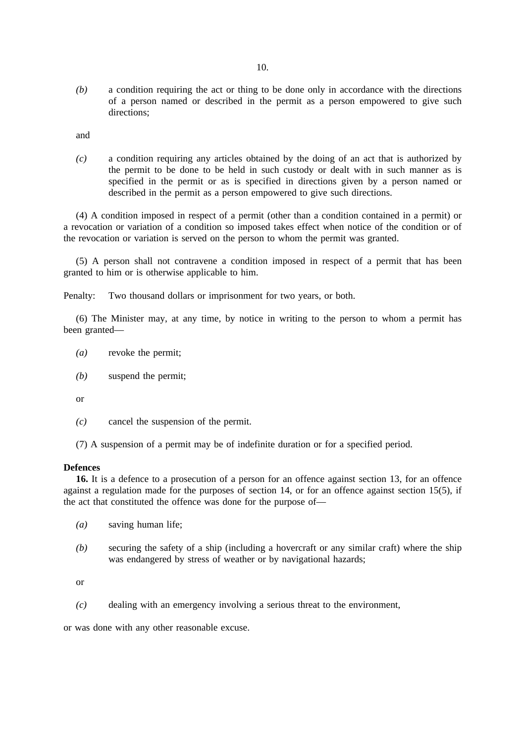*(b)* a condition requiring the act or thing to be done only in accordance with the directions of a person named or described in the permit as a person empowered to give such directions;

and

*(c)* a condition requiring any articles obtained by the doing of an act that is authorized by the permit to be done to be held in such custody or dealt with in such manner as is specified in the permit or as is specified in directions given by a person named or described in the permit as a person empowered to give such directions.

(4) A condition imposed in respect of a permit (other than a condition contained in a permit) or a revocation or variation of a condition so imposed takes effect when notice of the condition or of the revocation or variation is served on the person to whom the permit was granted.

(5) A person shall not contravene a condition imposed in respect of a permit that has been granted to him or is otherwise applicable to him.

Penalty: Two thousand dollars or imprisonment for two years, or both.

(6) The Minister may, at any time, by notice in writing to the person to whom a permit has been granted—

- *(a)* revoke the permit;
- *(b)* suspend the permit;

or

*(c)* cancel the suspension of the permit.

(7) A suspension of a permit may be of indefinite duration or for a specified period.

### **Defences**

**16.** It is a defence to a prosecution of a person for an offence against section 13, for an offence against a regulation made for the purposes of section 14, or for an offence against section 15(5), if the act that constituted the offence was done for the purpose of—

- *(a)* saving human life;
- *(b)* securing the safety of a ship (including a hovercraft or any similar craft) where the ship was endangered by stress of weather or by navigational hazards;

or

*(c)* dealing with an emergency involving a serious threat to the environment,

or was done with any other reasonable excuse.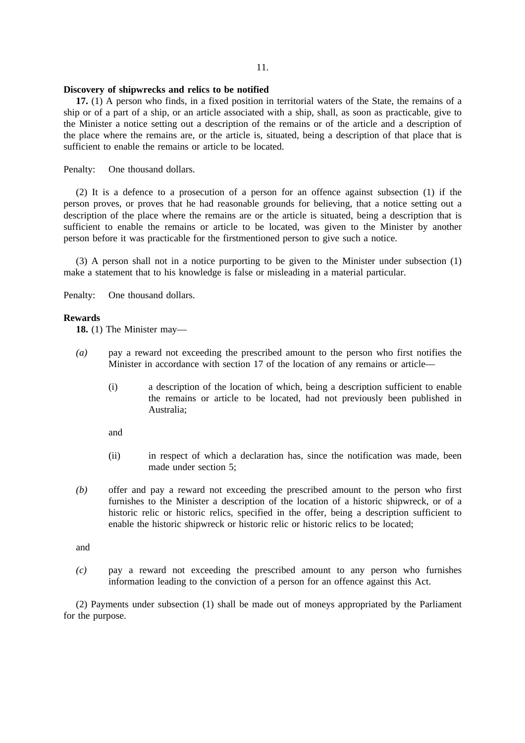# 11.

### **Discovery of shipwrecks and relics to be notified**

**17.** (1) A person who finds, in a fixed position in territorial waters of the State, the remains of a ship or of a part of a ship, or an article associated with a ship, shall, as soon as practicable, give to the Minister a notice setting out a description of the remains or of the article and a description of the place where the remains are, or the article is, situated, being a description of that place that is sufficient to enable the remains or article to be located.

Penalty: One thousand dollars.

(2) It is a defence to a prosecution of a person for an offence against subsection (1) if the person proves, or proves that he had reasonable grounds for believing, that a notice setting out a description of the place where the remains are or the article is situated, being a description that is sufficient to enable the remains or article to be located, was given to the Minister by another person before it was practicable for the firstmentioned person to give such a notice.

(3) A person shall not in a notice purporting to be given to the Minister under subsection (1) make a statement that to his knowledge is false or misleading in a material particular.

Penalty: One thousand dollars.

#### **Rewards**

**18.** (1) The Minister may—

- *(a)* pay a reward not exceeding the prescribed amount to the person who first notifies the Minister in accordance with section 17 of the location of any remains or article—
	- (i) a description of the location of which, being a description sufficient to enable the remains or article to be located, had not previously been published in Australia;
	- and
	- (ii) in respect of which a declaration has, since the notification was made, been made under section 5;
- *(b)* offer and pay a reward not exceeding the prescribed amount to the person who first furnishes to the Minister a description of the location of a historic shipwreck, or of a historic relic or historic relics, specified in the offer, being a description sufficient to enable the historic shipwreck or historic relic or historic relics to be located;

and

*(c)* pay a reward not exceeding the prescribed amount to any person who furnishes information leading to the conviction of a person for an offence against this Act.

(2) Payments under subsection (1) shall be made out of moneys appropriated by the Parliament for the purpose.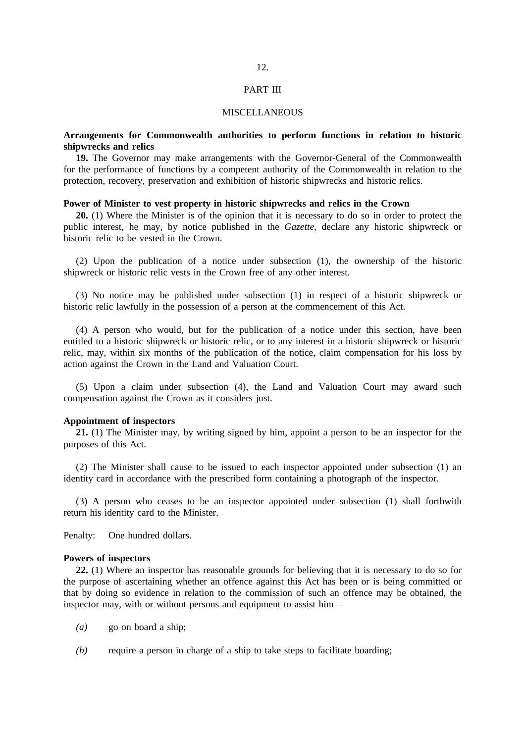#### PART III

#### MISCELLANEOUS

# **Arrangements for Commonwealth authorities to perform functions in relation to historic shipwrecks and relics**

**19.** The Governor may make arrangements with the Governor-General of the Commonwealth for the performance of functions by a competent authority of the Commonwealth in relation to the protection, recovery, preservation and exhibition of historic shipwrecks and historic relics.

### **Power of Minister to vest property in historic shipwrecks and relics in the Crown**

**20.** (1) Where the Minister is of the opinion that it is necessary to do so in order to protect the public interest, he may, by notice published in the *Gazette*, declare any historic shipwreck or historic relic to be vested in the Crown.

(2) Upon the publication of a notice under subsection (1), the ownership of the historic shipwreck or historic relic vests in the Crown free of any other interest.

(3) No notice may be published under subsection (1) in respect of a historic shipwreck or historic relic lawfully in the possession of a person at the commencement of this Act.

(4) A person who would, but for the publication of a notice under this section, have been entitled to a historic shipwreck or historic relic, or to any interest in a historic shipwreck or historic relic, may, within six months of the publication of the notice, claim compensation for his loss by action against the Crown in the Land and Valuation Court.

(5) Upon a claim under subsection (4), the Land and Valuation Court may award such compensation against the Crown as it considers just.

### **Appointment of inspectors**

**21.** (1) The Minister may, by writing signed by him, appoint a person to be an inspector for the purposes of this Act.

(2) The Minister shall cause to be issued to each inspector appointed under subsection (1) an identity card in accordance with the prescribed form containing a photograph of the inspector.

(3) A person who ceases to be an inspector appointed under subsection (1) shall forthwith return his identity card to the Minister.

Penalty: One hundred dollars.

#### **Powers of inspectors**

**22.** (1) Where an inspector has reasonable grounds for believing that it is necessary to do so for the purpose of ascertaining whether an offence against this Act has been or is being committed or that by doing so evidence in relation to the commission of such an offence may be obtained, the inspector may, with or without persons and equipment to assist him—

- *(a)* go on board a ship;
- *(b)* require a person in charge of a ship to take steps to facilitate boarding;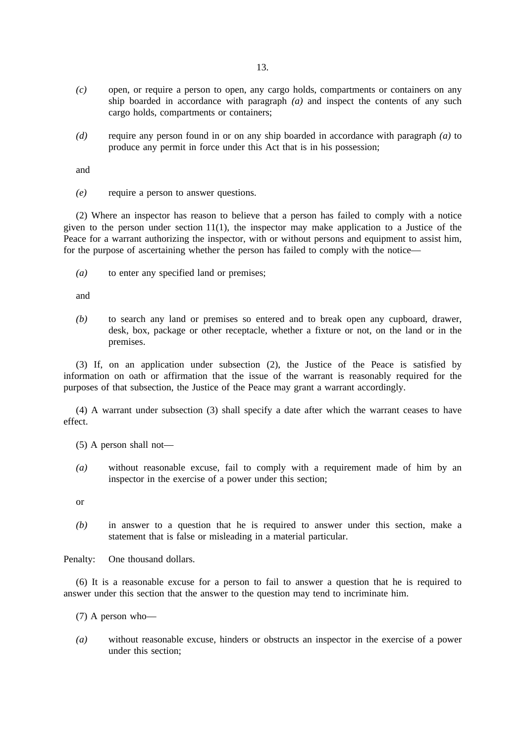- *(c)* open, or require a person to open, any cargo holds, compartments or containers on any ship boarded in accordance with paragraph *(a)* and inspect the contents of any such cargo holds, compartments or containers;
- *(d)* require any person found in or on any ship boarded in accordance with paragraph *(a)* to produce any permit in force under this Act that is in his possession;

and

*(e)* require a person to answer questions.

(2) Where an inspector has reason to believe that a person has failed to comply with a notice given to the person under section  $11(1)$ , the inspector may make application to a Justice of the Peace for a warrant authorizing the inspector, with or without persons and equipment to assist him, for the purpose of ascertaining whether the person has failed to comply with the notice—

*(a)* to enter any specified land or premises;

and

*(b)* to search any land or premises so entered and to break open any cupboard, drawer, desk, box, package or other receptacle, whether a fixture or not, on the land or in the premises.

(3) If, on an application under subsection (2), the Justice of the Peace is satisfied by information on oath or affirmation that the issue of the warrant is reasonably required for the purposes of that subsection, the Justice of the Peace may grant a warrant accordingly.

(4) A warrant under subsection (3) shall specify a date after which the warrant ceases to have effect.

(5) A person shall not—

*(a)* without reasonable excuse, fail to comply with a requirement made of him by an inspector in the exercise of a power under this section;

or

*(b)* in answer to a question that he is required to answer under this section, make a statement that is false or misleading in a material particular.

Penalty: One thousand dollars.

(6) It is a reasonable excuse for a person to fail to answer a question that he is required to answer under this section that the answer to the question may tend to incriminate him.

- (7) A person who—
- *(a)* without reasonable excuse, hinders or obstructs an inspector in the exercise of a power under this section;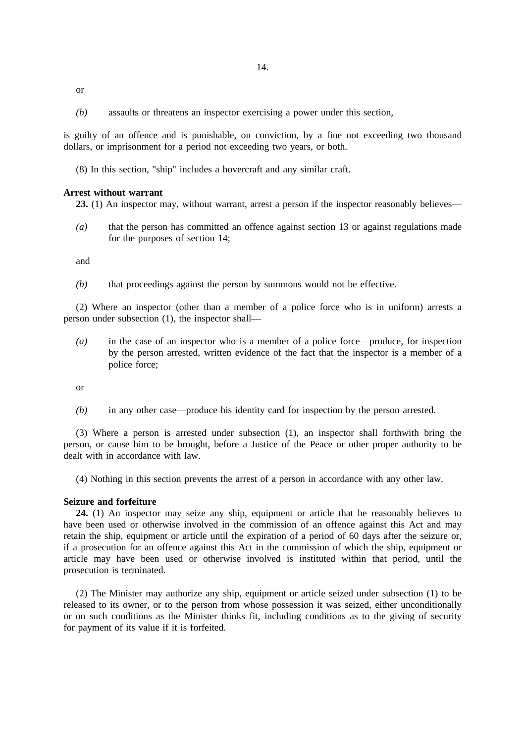or

*(b)* assaults or threatens an inspector exercising a power under this section,

is guilty of an offence and is punishable, on conviction, by a fine not exceeding two thousand dollars, or imprisonment for a period not exceeding two years, or both.

(8) In this section, "ship" includes a hovercraft and any similar craft.

#### **Arrest without warrant**

**23.** (1) An inspector may, without warrant, arrest a person if the inspector reasonably believes—

*(a)* that the person has committed an offence against section 13 or against regulations made for the purposes of section 14;

and

*(b)* that proceedings against the person by summons would not be effective.

(2) Where an inspector (other than a member of a police force who is in uniform) arrests a person under subsection (1), the inspector shall—

*(a)* in the case of an inspector who is a member of a police force—produce, for inspection by the person arrested, written evidence of the fact that the inspector is a member of a police force;

or

*(b)* in any other case—produce his identity card for inspection by the person arrested.

(3) Where a person is arrested under subsection (1), an inspector shall forthwith bring the person, or cause him to be brought, before a Justice of the Peace or other proper authority to be dealt with in accordance with law.

(4) Nothing in this section prevents the arrest of a person in accordance with any other law.

### **Seizure and forfeiture**

**24.** (1) An inspector may seize any ship, equipment or article that he reasonably believes to have been used or otherwise involved in the commission of an offence against this Act and may retain the ship, equipment or article until the expiration of a period of 60 days after the seizure or, if a prosecution for an offence against this Act in the commission of which the ship, equipment or article may have been used or otherwise involved is instituted within that period, until the prosecution is terminated.

(2) The Minister may authorize any ship, equipment or article seized under subsection (1) to be released to its owner, or to the person from whose possession it was seized, either unconditionally or on such conditions as the Minister thinks fit, including conditions as to the giving of security for payment of its value if it is forfeited.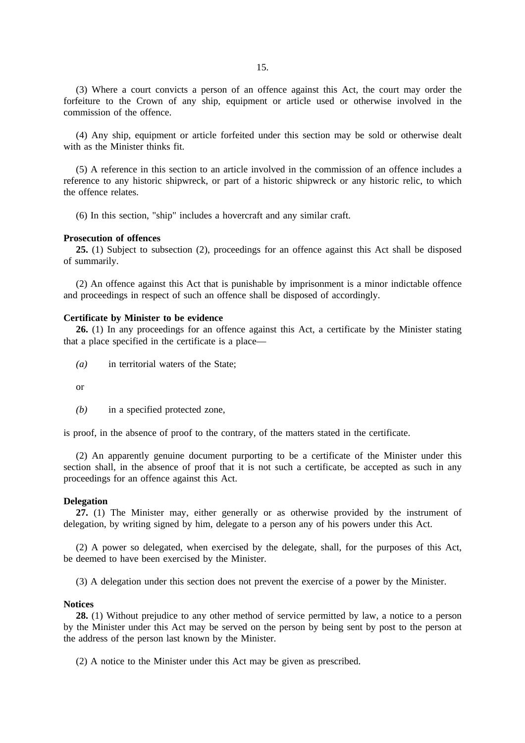(3) Where a court convicts a person of an offence against this Act, the court may order the forfeiture to the Crown of any ship, equipment or article used or otherwise involved in the commission of the offence.

(4) Any ship, equipment or article forfeited under this section may be sold or otherwise dealt with as the Minister thinks fit.

(5) A reference in this section to an article involved in the commission of an offence includes a reference to any historic shipwreck, or part of a historic shipwreck or any historic relic, to which the offence relates.

(6) In this section, "ship" includes a hovercraft and any similar craft.

#### **Prosecution of offences**

**25.** (1) Subject to subsection (2), proceedings for an offence against this Act shall be disposed of summarily.

(2) An offence against this Act that is punishable by imprisonment is a minor indictable offence and proceedings in respect of such an offence shall be disposed of accordingly.

# **Certificate by Minister to be evidence**

**26.** (1) In any proceedings for an offence against this Act, a certificate by the Minister stating that a place specified in the certificate is a place—

*(a)* in territorial waters of the State;

or

*(b)* in a specified protected zone,

is proof, in the absence of proof to the contrary, of the matters stated in the certificate.

(2) An apparently genuine document purporting to be a certificate of the Minister under this section shall, in the absence of proof that it is not such a certificate, be accepted as such in any proceedings for an offence against this Act.

### **Delegation**

**27.** (1) The Minister may, either generally or as otherwise provided by the instrument of delegation, by writing signed by him, delegate to a person any of his powers under this Act.

(2) A power so delegated, when exercised by the delegate, shall, for the purposes of this Act, be deemed to have been exercised by the Minister.

(3) A delegation under this section does not prevent the exercise of a power by the Minister.

#### **Notices**

**28.** (1) Without prejudice to any other method of service permitted by law, a notice to a person by the Minister under this Act may be served on the person by being sent by post to the person at the address of the person last known by the Minister.

(2) A notice to the Minister under this Act may be given as prescribed.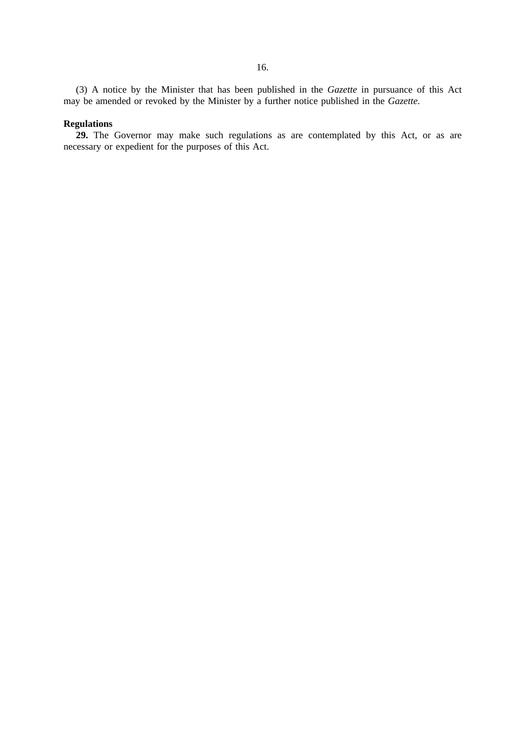(3) A notice by the Minister that has been published in the *Gazette* in pursuance of this Act may be amended or revoked by the Minister by a further notice published in the *Gazette*.

# **Regulations**

**29.** The Governor may make such regulations as are contemplated by this Act, or as are necessary or expedient for the purposes of this Act.